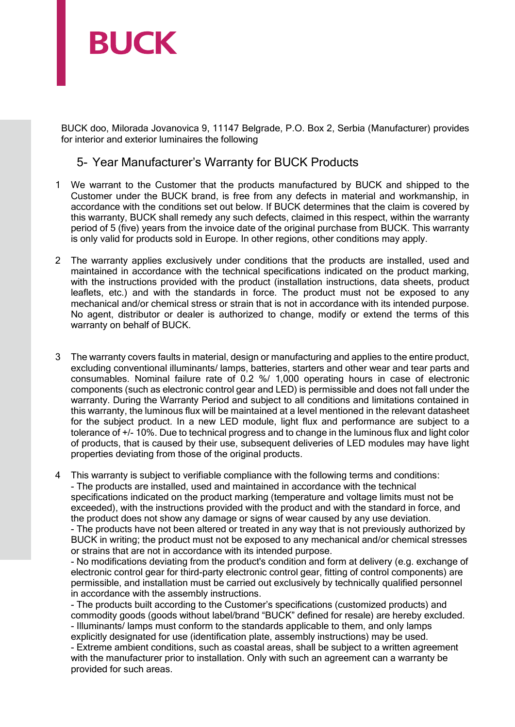

BUCK doo, Milorada Jovanovica 9, 11147 Belgrade, P.O. Box 2, Serbia (Manufacturer) provides for interior and exterior luminaires the following

## 5- Year Manufacturer's Warranty for BUCK Products

- 1 We warrant to the Customer that the products manufactured by BUCK and shipped to the Customer under the BUCK brand, is free from any defects in material and workmanship, in accordance with the conditions set out below. If BUCK determines that the claim is covered by this warranty, BUCK shall remedy any such defects, claimed in this respect, within the warranty period of 5 (five) years from the invoice date of the original purchase from BUCK. This warranty is only valid for products sold in Europe. In other regions, other conditions may apply.
- 2 The warranty applies exclusively under conditions that the products are installed, used and maintained in accordance with the technical specifications indicated on the product marking, with the instructions provided with the product (installation instructions, data sheets, product leaflets, etc.) and with the standards in force. The product must not be exposed to any mechanical and/or chemical stress or strain that is not in accordance with its intended purpose. No agent, distributor or dealer is authorized to change, modify or extend the terms of this warranty on behalf of BUCK.
- 3 The warranty covers faults in material, design or manufacturing and applies to the entire product, excluding conventional illuminants/ lamps, batteries, starters and other wear and tear parts and consumables. Nominal failure rate of 0.2 %/ 1,000 operating hours in case of electronic components (such as electronic control gear and LED) is permissible and does not fall under the warranty. During the Warranty Period and subject to all conditions and limitations contained in this warranty, the luminous flux will be maintained at a level mentioned in the relevant datasheet for the subject product. In a new LED module, light flux and performance are subject to a tolerance of +/- 10%. Due to technical progress and to change in the luminous flux and light color of products, that is caused by their use, subsequent deliveries of LED modules may have light properties deviating from those of the original products.

4 This warranty is subject to verifiable compliance with the following terms and conditions: - The products are installed, used and maintained in accordance with the technical specifications indicated on the product marking (temperature and voltage limits must not be exceeded), with the instructions provided with the product and with the standard in force, and the product does not show any damage or signs of wear caused by any use deviation. - The products have not been altered or treated in any way that is not previously authorized by BUCK in writing; the product must not be exposed to any mechanical and/or chemical stresses or strains that are not in accordance with its intended purpose.

- No modifications deviating from the product's condition and form at delivery (e.g. exchange of electronic control gear for third-party electronic control gear, fitting of control components) are permissible, and installation must be carried out exclusively by technically qualified personnel in accordance with the assembly instructions.

- The products built according to the Customer's specifications (customized products) and commodity goods (goods without label/brand "BUCK" defined for resale) are hereby excluded. - Illuminants/ lamps must conform to the standards applicable to them, and only lamps explicitly designated for use (identification plate, assembly instructions) may be used. - Extreme ambient conditions, such as coastal areas, shall be subject to a written agreement with the manufacturer prior to installation. Only with such an agreement can a warranty be provided for such areas.